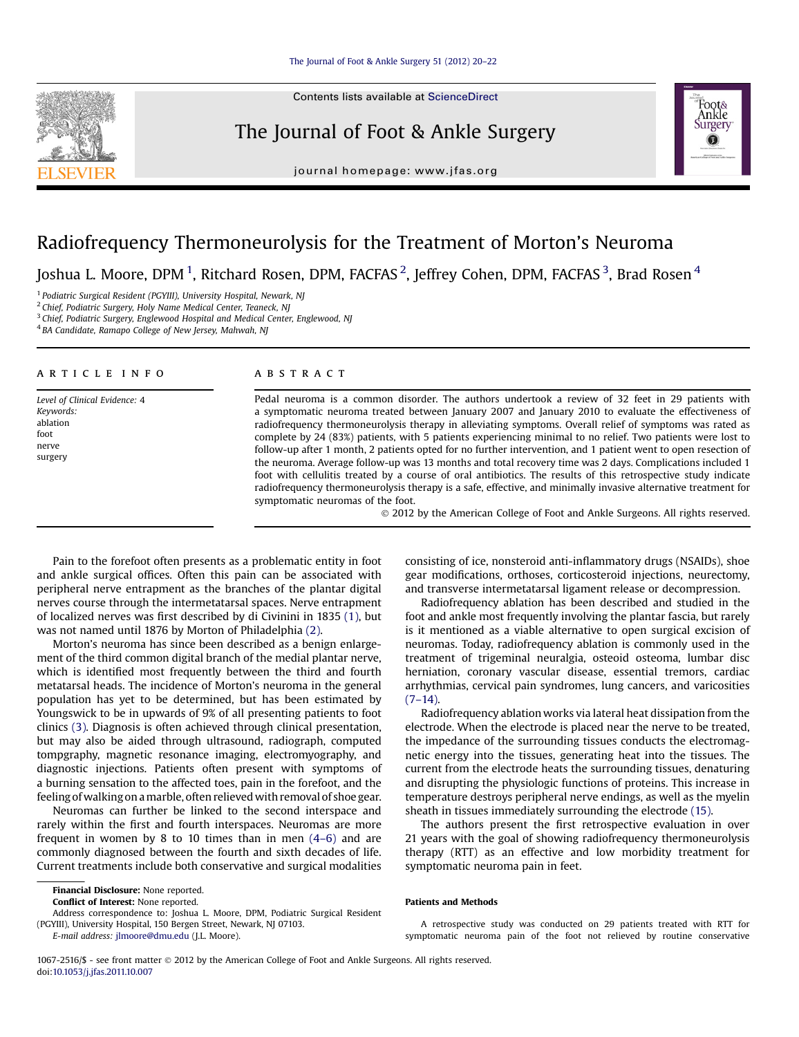Contents lists available at [ScienceDirect](www.sciencedirect.com/science/journal/10672516)

# The Journal of Foot & Ankle Surgery



journal homepage: [www.jfas.org](http://www.jfas.org)

# Radiofrequency Thermoneurolysis for the Treatment of Morton's Neuroma

Joshua L. Moore, DPM  $^1$ , Ritchard Rosen, DPM, FACFAS  $^2$ , Jeffrey Cohen, DPM, FACFAS  $^3$ , Brad Rosen  $^4$ 

1 *Podiatric Surgical Resident (PGYIII), University Hospital, Newark, NJ*

2 *Chief, Podiatric Surgery, Holy Name Medical Center, Teaneck, NJ*

3 *Chief, Podiatric Surgery, Englewood Hospital and Medical Center, Englewood, NJ*

4 *BA Candidate, Ramapo College of New Jersey, Mahwah, NJ*

# article info

*Level of Clinical Evidence:* 4

*Keywords:* ablation foot nerve surgery

ABSTRACT

Pedal neuroma is a common disorder. The authors undertook a review of 32 feet in 29 patients with a symptomatic neuroma treated between January 2007 and January 2010 to evaluate the effectiveness of radiofrequency thermoneurolysis therapy in alleviating symptoms. Overall relief of symptoms was rated as complete by 24 (83%) patients, with 5 patients experiencing minimal to no relief. Two patients were lost to follow-up after 1 month, 2 patients opted for no further intervention, and 1 patient went to open resection of the neuroma. Average follow-up was 13 months and total recovery time was 2 days. Complications included 1 foot with cellulitis treated by a course of oral antibiotics. The results of this retrospective study indicate radiofrequency thermoneurolysis therapy is a safe, effective, and minimally invasive alternative treatment for symptomatic neuromas of the foot.

2012 by the American College of Foot and Ankle Surgeons. All rights reserved.

Pain to the forefoot often presents as a problematic entity in foot and ankle surgical offices. Often this pain can be associated with peripheral nerve entrapment as the branches of the plantar digital nerves course through the intermetatarsal spaces. Nerve entrapment of localized nerves was first described by di Civinini in 1835 [\(1\),](#page-2-0) but was not named until 1876 by Morton of Philadelphia [\(2\).](#page-2-0)

Morton's neuroma has since been described as a benign enlargement of the third common digital branch of the medial plantar nerve, which is identified most frequently between the third and fourth metatarsal heads. The incidence of Morton's neuroma in the general population has yet to be determined, but has been estimated by Youngswick to be in upwards of 9% of all presenting patients to foot clinics [\(3\).](#page-2-0) Diagnosis is often achieved through clinical presentation, but may also be aided through ultrasound, radiograph, computed tompgraphy, magnetic resonance imaging, electromyography, and diagnostic injections. Patients often present with symptoms of a burning sensation to the affected toes, pain in the forefoot, and the feeling of walking on amarble, often relieved with removal of shoe gear.

Neuromas can further be linked to the second interspace and rarely within the first and fourth interspaces. Neuromas are more frequent in women by 8 to 10 times than in men (4–[6\)](#page-2-0) and are commonly diagnosed between the fourth and sixth decades of life. Current treatments include both conservative and surgical modalities

Conflict of Interest: None reported.

Address correspondence to: Joshua L. Moore, DPM, Podiatric Surgical Resident (PGYIII), University Hospital, 150 Bergen Street, Newark, NJ 07103.

*E-mail address:* [jlmoore@dmu.edu](mailto:jlmoore@dmu.edu) (J.L. Moore).

consisting of ice, nonsteroid anti-inflammatory drugs (NSAIDs), shoe gear modifications, orthoses, corticosteroid injections, neurectomy, and transverse intermetatarsal ligament release or decompression.

Radiofrequency ablation has been described and studied in the foot and ankle most frequently involving the plantar fascia, but rarely is it mentioned as a viable alternative to open surgical excision of neuromas. Today, radiofrequency ablation is commonly used in the treatment of trigeminal neuralgia, osteoid osteoma, lumbar disc herniation, coronary vascular disease, essential tremors, cardiac arrhythmias, cervical pain syndromes, lung cancers, and varicosities  $(7-14)$ .

Radiofrequency ablation works via lateral heat dissipation from the electrode. When the electrode is placed near the nerve to be treated, the impedance of the surrounding tissues conducts the electromagnetic energy into the tissues, generating heat into the tissues. The current from the electrode heats the surrounding tissues, denaturing and disrupting the physiologic functions of proteins. This increase in temperature destroys peripheral nerve endings, as well as the myelin sheath in tissues immediately surrounding the electrode [\(15\).](#page-2-0)

The authors present the first retrospective evaluation in over 21 years with the goal of showing radiofrequency thermoneurolysis therapy (RTT) as an effective and low morbidity treatment for symptomatic neuroma pain in feet.

#### Patients and Methods

A retrospective study was conducted on 29 patients treated with RTT for symptomatic neuroma pain of the foot not relieved by routine conservative

1067-2516/\$ - see front matter  $\circ$  2012 by the American College of Foot and Ankle Surgeons. All rights reserved. doi:[10.1053/j.jfas.2011.10.007](http://dx.doi.org/10.1053/j.jfas.2011.10.007)

Financial Disclosure: None reported.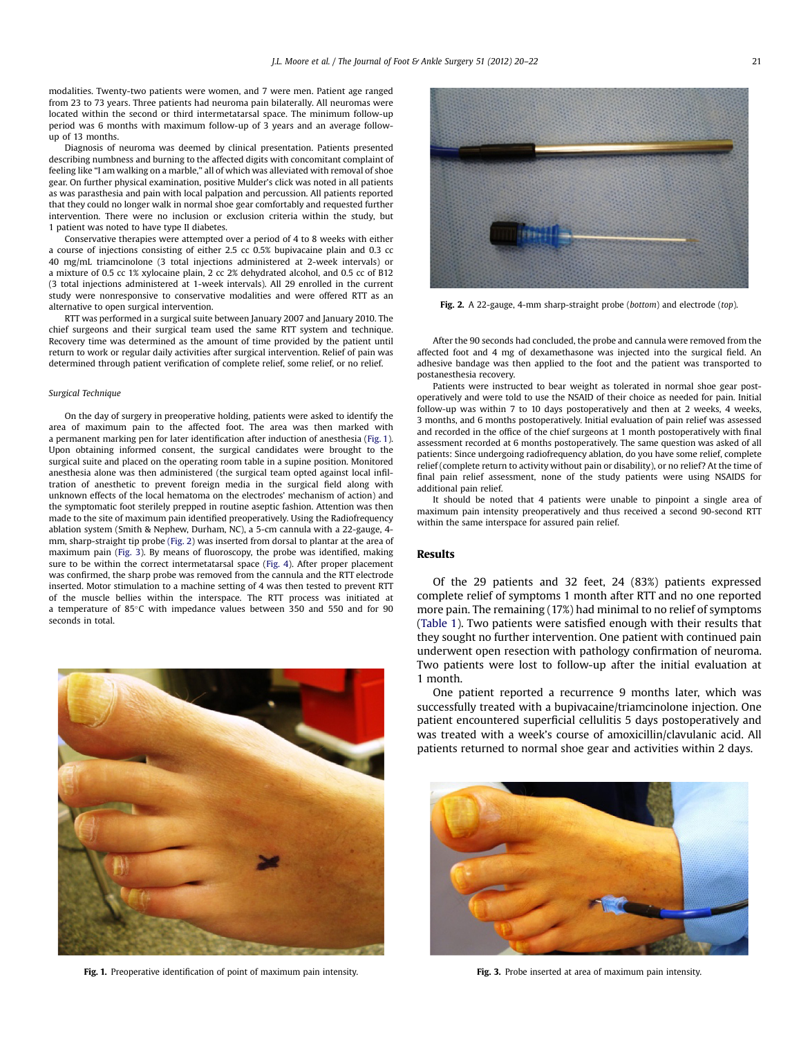modalities. Twenty-two patients were women, and 7 were men. Patient age ranged from 23 to 73 years. Three patients had neuroma pain bilaterally. All neuromas were located within the second or third intermetatarsal space. The minimum follow-up period was 6 months with maximum follow-up of 3 years and an average followup of 13 months.

Diagnosis of neuroma was deemed by clinical presentation. Patients presented describing numbness and burning to the affected digits with concomitant complaint of feeling like "I am walking on a marble," all of which was alleviated with removal of shoe gear. On further physical examination, positive Mulder's click was noted in all patients as was parasthesia and pain with local palpation and percussion. All patients reported that they could no longer walk in normal shoe gear comfortably and requested further intervention. There were no inclusion or exclusion criteria within the study, but 1 patient was noted to have type II diabetes.

Conservative therapies were attempted over a period of 4 to 8 weeks with either a course of injections consisting of either 2.5 cc 0.5% bupivacaine plain and 0.3 cc 40 mg/mL triamcinolone (3 total injections administered at 2-week intervals) or a mixture of 0.5 cc 1% xylocaine plain, 2 cc 2% dehydrated alcohol, and 0.5 cc of B12 (3 total injections administered at 1-week intervals). All 29 enrolled in the current study were nonresponsive to conservative modalities and were offered RTT as an alternative to open surgical intervention.

RTT was performed in a surgical suite between January 2007 and January 2010. The chief surgeons and their surgical team used the same RTT system and technique. Recovery time was determined as the amount of time provided by the patient until return to work or regular daily activities after surgical intervention. Relief of pain was determined through patient verification of complete relief, some relief, or no relief.

#### *Surgical Technique*

On the day of surgery in preoperative holding, patients were asked to identify the area of maximum pain to the affected foot. The area was then marked with a permanent marking pen for later identification after induction of anesthesia (Fig. 1). Upon obtaining informed consent, the surgical candidates were brought to the surgical suite and placed on the operating room table in a supine position. Monitored anesthesia alone was then administered (the surgical team opted against local infiltration of anesthetic to prevent foreign media in the surgical field along with unknown effects of the local hematoma on the electrodes' mechanism of action) and the symptomatic foot sterilely prepped in routine aseptic fashion. Attention was then made to the site of maximum pain identified preoperatively. Using the Radiofrequency ablation system (Smith & Nephew, Durham, NC), a 5-cm cannula with a 22-gauge, 4 mm, sharp-straight tip probe (Fig. 2) was inserted from dorsal to plantar at the area of maximum pain (Fig. 3). By means of fluoroscopy, the probe was identified, making sure to be within the correct intermetatarsal space [\(Fig. 4\)](#page-2-0). After proper placement was confirmed, the sharp probe was removed from the cannula and the RTT electrode inserted. Motor stimulation to a machine setting of 4 was then tested to prevent RTT of the muscle bellies within the interspace. The RTT process was initiated at a temperature of 85°C with impedance values between 350 and 550 and for 90 seconds in total.



Fig. 1. Preoperative identification of point of maximum pain intensity.



Fig. 2. A 22-gauge, 4-mm sharp-straight probe (*bottom*) and electrode (*top*).

After the 90 seconds had concluded, the probe and cannula were removed from the affected foot and 4 mg of dexamethasone was injected into the surgical field. An adhesive bandage was then applied to the foot and the patient was transported to postanesthesia recovery.

Patients were instructed to bear weight as tolerated in normal shoe gear postoperatively and were told to use the NSAID of their choice as needed for pain. Initial follow-up was within 7 to 10 days postoperatively and then at 2 weeks, 4 weeks, 3 months, and 6 months postoperatively. Initial evaluation of pain relief was assessed and recorded in the office of the chief surgeons at 1 month postoperatively with final assessment recorded at 6 months postoperatively. The same question was asked of all patients: Since undergoing radiofrequency ablation, do you have some relief, complete relief (complete return to activity without pain or disability), or no relief? At the time of final pain relief assessment, none of the study patients were using NSAIDS for additional pain relief.

It should be noted that 4 patients were unable to pinpoint a single area of maximum pain intensity preoperatively and thus received a second 90-second RTT within the same interspace for assured pain relief.

## Results

Of the 29 patients and 32 feet, 24 (83%) patients expressed complete relief of symptoms 1 month after RTT and no one reported more pain. The remaining (17%) had minimal to no relief of symptoms [\(Table 1](#page-2-0)). Two patients were satisfied enough with their results that they sought no further intervention. One patient with continued pain underwent open resection with pathology confirmation of neuroma. Two patients were lost to follow-up after the initial evaluation at 1 month.

One patient reported a recurrence 9 months later, which was successfully treated with a bupivacaine/triamcinolone injection. One patient encountered superficial cellulitis 5 days postoperatively and was treated with a week's course of amoxicillin/clavulanic acid. All patients returned to normal shoe gear and activities within 2 days.



Fig. 3. Probe inserted at area of maximum pain intensity.